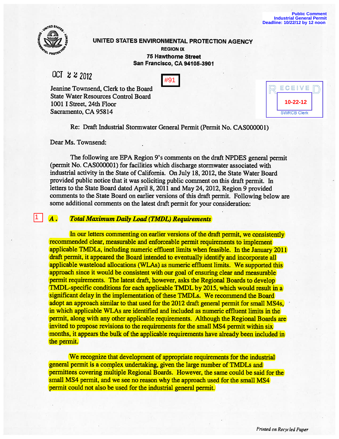

11 I

# UNITED STATES ENVIRONMENTAL PROTECTION AGENCY

## **REGION IX 75 Hawthorne Street San Francisco, CA 94105-3901**

OCT  $2222112$ 

| . .<br>۰. |
|-----------|
|-----------|

Jeanine Townsend, Clerk to the Board State Water Resources Control Board 1001 I Street, 24th Floor Sacramento, CA 95814

| ECEIVE             |  |
|--------------------|--|
| 10-22-12           |  |
| <b>SWRCB Clerk</b> |  |

Re: Draft Industrial Stormwater General Permit (Permit No. CAS00000I)

Dear Ms. Townsend:

The following are EPA Region 9's comments on the draft NPDES general permit (permit No. CAS000001) for facilities which discharge stormwater associated with industrial activity in the State of California. On July 18, 2012, the State Water Board provided public notice that it was soliciting public comment on this draft permit. In letters to the State Board dated April 8, 2011 and May 24, 2012, Region 9 provided comments to the State Board on earlier versions of this draft permit. Following below are some additional comments on the latest draft permit for your consideration:

A. Total Maximum Daily Load (TMDL) Requirements

In our letters commenting on earlier versions of the draft permit, we consistently recommended clear, measurable and enforceable permit requirements to implement applicable TMDLs, including numeric effluent limits when feasible. In the January 2011 draft permit, it appeared the Board intended to eventually identify and incorporate all applicable wasteload allocations (WLAs) as numeric effluent limits. We supported this approach since it would be consistent with our goal of ensuring clear and measurable permit requirements. The latest draft, however, asks the Regional Boards to develop TMDL-specific conditions for each applicable TMDL by 2015, which would result in a significant delay in the implementation of these TMDLs. We recommend the Board adopt an approach similar to that used for the 2012 draft general permit for small MS4s, in which applicable WLAs are identified and included as numeric effluent limits in the permit, along with any other applicable requirements. Although the Regional Boards are invited to propose revisions to the requirements for the small MS4 permit within six months, it appears the bulk of the applicable requirements have already been included in the permit.

We recognize that development of appropriate requirements for the industrial general permit is a complex undertaking, given the large number of TMDLs and permittees covering multiple Regional Boards. However, the same could be said for the small MS4 permit, and we see no reason why the approach used for the small MS4 permit could not also be used for the industrial general permit.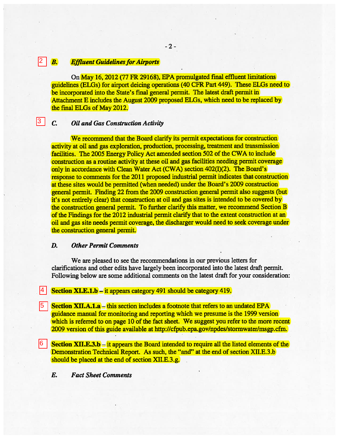### **B.** Effluent Guidelines for Airports 2

On May 16, 2012 (77 FR 29168), EPA promulgated fmal effluent limitations guidelines (ELGs) for airport deicing operations (40 CFR Part 449). These ELGs need to be incorporated into the State's final general permit. The latest draft permit in Attachment E includes the August 2009 proposed ELGs, which need to be replaced by the final ELGs of May 2012.

-2-

# C. Oil and Gas Construction Activity

l3 |

We recommend that the Board clarify its permit expectations for construction activity at oil and gas exploration, production, processing, treatment and transmission facilities. The 2005 Energy Policy Act amended section 502 of the CWA to include construction as a routine activity at these oil and gas facilities needing permit coverage only in accordance with Clean Water Act (CWA) section 402(1)(2). The Board's response to comments for the 2011 proposed industrial permit indicates that construction at these sites would be permitted (when needed) under the Board's 2009 construction general permit. Finding 22 from the 2009 construction general permit also suggests (but it's not entirely clear) that construction at oil and gas sites is intended to be covered by the construction general permit. To further clarify this matter, we recommend Section B of the Findings for the 2012 industrial permit clarify that to the extent construction at an oil and gas site needs permit coverage, the discharger would need to seek coverage under the construction general permit.

### D. Other Permit Comments

We are pleased to see the recommendations in our previous letters for clarifications and other edits have largely been incorporated into the latest draft permit. Following below are some additional comments on the latest draft for your consideration:

### Section XI.E.1.b – it appears category 491 should be category 419. 4

- Section XII.A.1.a this section includes a footnote that refers to an undated EPA guidance manual for monitoring and reporting which we presume is the 1999 version which is referred to on page 10 of the fact sheet. We suggest you refer to the more recent 2009 version of this guide available at http://cfpub.epa.gov/npdes/stormwater/msgp.cfm. 15 I
- Section XII.E.3.b it appears the Board intended to require all the listed elements of the Demonstration Technical Report. As such, the "and" at the end of section XII.E.3.b should be placed at the end of section XII.E.3.g. 6
	- E. Fact Sheet Comments